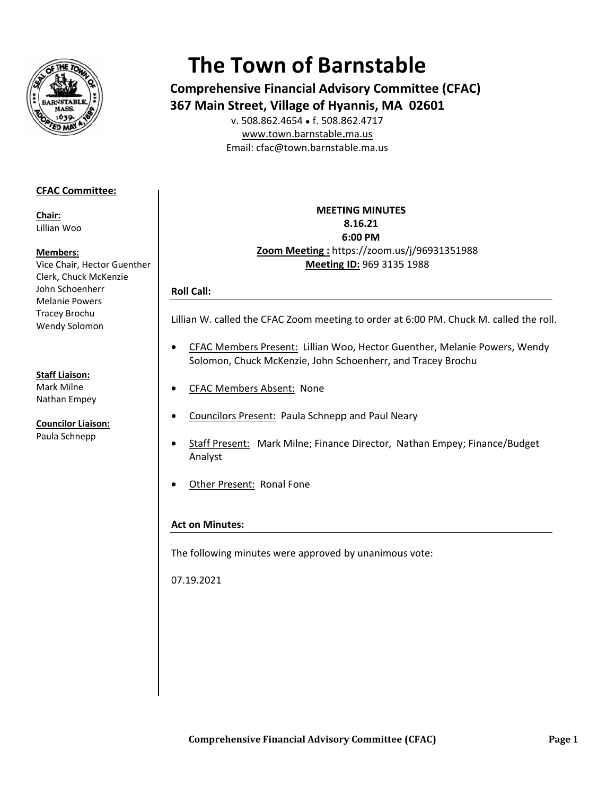

# **The Town of Barnstable**

**Comprehensive Financial Advisory Committee (CFAC)** 367 Main Street, Village of Hyannis, MA 02601 v. 508.862.4654 • f. 508.862.4717

www.town.barnstable.ma.us Email: cfac@town.barnstable.ma.us

# **CFAC Committee:**

Chair: Lillian Woo

## Members:

Vice Chair, Hector Guenther Clerk, Chuck McKenzie John Schoenherr **Melanie Powers Tracey Brochu** Wendy Solomon

# **Staff Liaison:**

Mark Milne Nathan Empey

**Councilor Liaison:** Paula Schnepp

# **MEETING MINUTES** 8.16.21 6:00 PM Zoom Meeting: https://zoom.us/j/96931351988 Meeting ID: 969 3135 1988

# **Roll Call:**

Lillian W. called the CFAC Zoom meeting to order at 6:00 PM. Chuck M. called the roll.

- CFAC Members Present: Lillian Woo, Hector Guenther, Melanie Powers, Wendy Solomon, Chuck McKenzie, John Schoenherr, and Tracey Brochu
- **CFAC Members Absent: None**  $\bullet$
- Councilors Present: Paula Schnepp and Paul Neary
- Staff Present: Mark Milne; Finance Director, Nathan Empey; Finance/Budget  $\bullet$ Analyst
- Other Present: Ronal Fone

# **Act on Minutes:**

The following minutes were approved by unanimous vote:

07.19.2021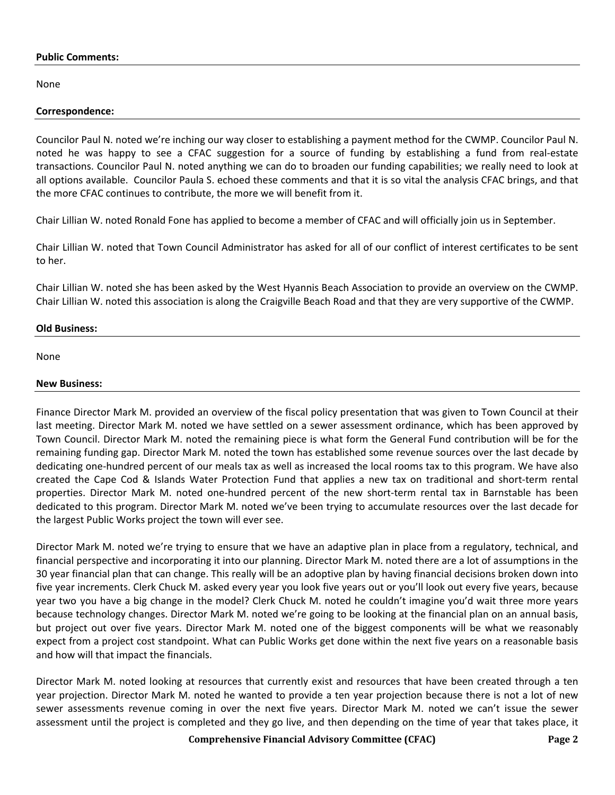#### **Public Comments:**

None

## **Correspondence:**

Councilor Paul N. noted we're inching our way closer to establishing a payment method for the CWMP. Councilor Paul N. noted he was happy to see a CFAC suggestion for a source of funding by establishing a fund from real-estate transactions. Councilor Paul N. noted anything we can do to broaden our funding capabilities; we really need to look at all options available. Councilor Paula S. echoed these comments and that it is so vital the analysis CFAC brings, and that the more CFAC continues to contribute, the more we will benefit from it.

Chair Lillian W. noted Ronald Fone has applied to become a member of CFAC and will officially join us in September.

Chair Lillian W. noted that Town Council Administrator has asked for all of our conflict of interest certificates to be sent to her.

Chair Lillian W. noted she has been asked by the West Hyannis Beach Association to provide an overview on the CWMP. Chair Lillian W. noted this association is along the Craigville Beach Road and that they are very supportive of the CWMP.

## **Old Business:**

None

## **New Business:**

Finance Director Mark M. provided an overview of the fiscal policy presentation that was given to Town Council at their last meeting. Director Mark M. noted we have settled on a sewer assessment ordinance, which has been approved by Town Council. Director Mark M. noted the remaining piece is what form the General Fund contribution will be for the remaining funding gap. Director Mark M. noted the town has established some revenue sources over the last decade by dedicating one-hundred percent of our meals tax as well as increased the local rooms tax to this program. We have also created the Cape Cod & Islands Water Protection Fund that applies a new tax on traditional and short-term rental properties. Director Mark M. noted one-hundred percent of the new short-term rental tax in Barnstable has been dedicated to this program. Director Mark M. noted we've been trying to accumulate resources over the last decade for the largest Public Works project the town will ever see.

Director Mark M. noted we're trying to ensure that we have an adaptive plan in place from a regulatory, technical, and financial perspective and incorporating it into our planning. Director Mark M. noted there are a lot of assumptions in the 30 year financial plan that can change. This really will be an adoptive plan by having financial decisions broken down into five year increments. Clerk Chuck M. asked every year you look five years out or you'll look out every five years, because year two you have a big change in the model? Clerk Chuck M. noted he couldn't imagine you'd wait three more years because technology changes. Director Mark M. noted we're going to be looking at the financial plan on an annual basis, but project out over five years. Director Mark M. noted one of the biggest components will be what we reasonably expect from a project cost standpoint. What can Public Works get done within the next five years on a reasonable basis and how will that impact the financials.

Director Mark M. noted looking at resources that currently exist and resources that have been created through a ten year projection. Director Mark M. noted he wanted to provide a ten year projection because there is not a lot of new sewer assessments revenue coming in over the next five years. Director Mark M. noted we can't issue the sewer assessment until the project is completed and they go live, and then depending on the time of year that takes place, it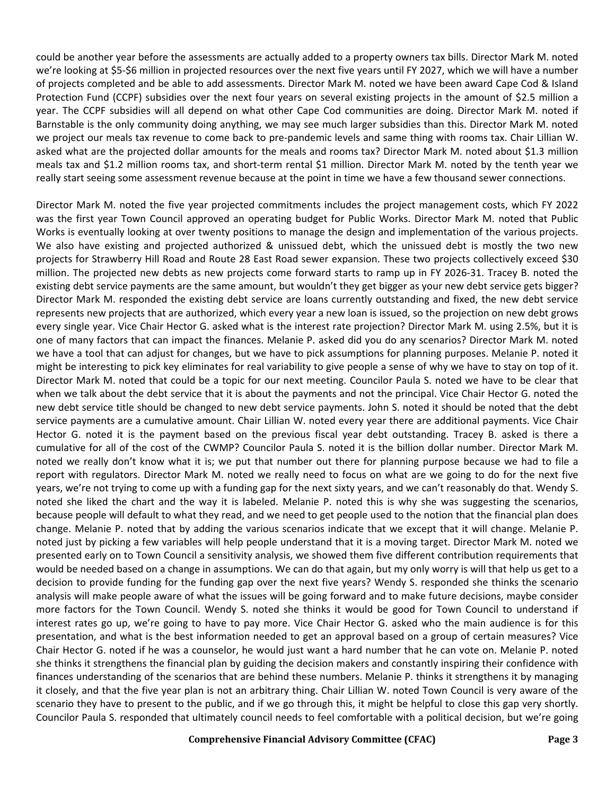could be another year before the assessments are actually added to a property owners tax bills. Director Mark M. noted we're looking at \$5-\$6 million in projected resources over the next five years until FY 2027, which we will have a number of projects completed and be able to add assessments. Director Mark M. noted we have been award Cape Cod & Island Protection Fund (CCPF) subsidies over the next four years on several existing projects in the amount of \$2.5 million a year. The CCPF subsidies will all depend on what other Cape Cod communities are doing. Director Mark M. noted if Barnstable is the only community doing anything, we may see much larger subsidies than this. Director Mark M. noted we project our meals tax revenue to come back to pre-pandemic levels and same thing with rooms tax. Chair Lillian W. asked what are the projected dollar amounts for the meals and rooms tax? Director Mark M. noted about \$1.3 million meals tax and \$1.2 million rooms tax, and short-term rental \$1 million. Director Mark M. noted by the tenth year we really start seeing some assessment revenue because at the point in time we have a few thousand sewer connections.

Director Mark M. noted the five year projected commitments includes the project management costs, which FY 2022 was the first year Town Council approved an operating budget for Public Works. Director Mark M. noted that Public Works is eventually looking at over twenty positions to manage the design and implementation of the various projects. We also have existing and projected authorized & unissued debt, which the unissued debt is mostly the two new projects for Strawberry Hill Road and Route 28 East Road sewer expansion. These two projects collectively exceed \$30 million. The projected new debts as new projects come forward starts to ramp up in FY 2026-31. Tracey B. noted the existing debt service payments are the same amount, but wouldn't they get bigger as your new debt service gets bigger? Director Mark M. responded the existing debt service are loans currently outstanding and fixed, the new debt service represents new projects that are authorized, which every year a new loan is issued, so the projection on new debt grows every single year. Vice Chair Hector G. asked what is the interest rate projection? Director Mark M. using 2.5%, but it is one of many factors that can impact the finances. Melanie P. asked did you do any scenarios? Director Mark M. noted we have a tool that can adjust for changes, but we have to pick assumptions for planning purposes. Melanie P. noted it might be interesting to pick key eliminates for real variability to give people a sense of why we have to stay on top of it. Director Mark M. noted that could be a topic for our next meeting. Councilor Paula S. noted we have to be clear that when we talk about the debt service that it is about the payments and not the principal. Vice Chair Hector G. noted the new debt service title should be changed to new debt service payments. John S. noted it should be noted that the debt service payments are a cumulative amount. Chair Lillian W. noted every year there are additional payments. Vice Chair Hector G. noted it is the payment based on the previous fiscal year debt outstanding. Tracey B. asked is there a cumulative for all of the cost of the CWMP? Councilor Paula S. noted it is the billion dollar number. Director Mark M. noted we really don't know what it is; we put that number out there for planning purpose because we had to file a report with regulators. Director Mark M. noted we really need to focus on what are we going to do for the next five years, we're not trying to come up with a funding gap for the next sixty years, and we can't reasonably do that. Wendy S. noted she liked the chart and the way it is labeled. Melanie P. noted this is why she was suggesting the scenarios, because people will default to what they read, and we need to get people used to the notion that the financial plan does change. Melanie P. noted that by adding the various scenarios indicate that we except that it will change. Melanie P. noted just by picking a few variables will help people understand that it is a moving target. Director Mark M. noted we presented early on to Town Council a sensitivity analysis, we showed them five different contribution requirements that would be needed based on a change in assumptions. We can do that again, but my only worry is will that help us get to a decision to provide funding for the funding gap over the next five years? Wendy S. responded she thinks the scenario analysis will make people aware of what the issues will be going forward and to make future decisions, maybe consider more factors for the Town Council. Wendy S. noted she thinks it would be good for Town Council to understand if interest rates go up, we're going to have to pay more. Vice Chair Hector G. asked who the main audience is for this presentation, and what is the best information needed to get an approval based on a group of certain measures? Vice Chair Hector G. noted if he was a counselor, he would just want a hard number that he can vote on. Melanie P. noted she thinks it strengthens the financial plan by guiding the decision makers and constantly inspiring their confidence with finances understanding of the scenarios that are behind these numbers. Melanie P. thinks it strengthens it by managing it closely, and that the five year plan is not an arbitrary thing. Chair Lillian W. noted Town Council is very aware of the scenario they have to present to the public, and if we go through this, it might be helpful to close this gap very shortly. Councilor Paula S. responded that ultimately council needs to feel comfortable with a political decision, but we're going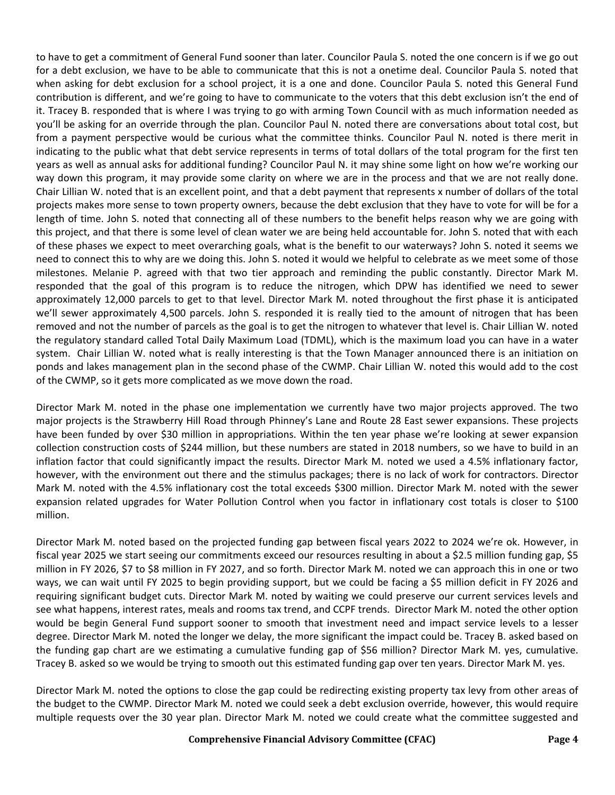to have to get a commitment of General Fund sooner than later. Councilor Paula S. noted the one concern is if we go out for a debt exclusion, we have to be able to communicate that this is not a onetime deal. Councilor Paula S. noted that when asking for debt exclusion for a school project, it is a one and done. Councilor Paula S. noted this General Fund contribution is different, and we're going to have to communicate to the voters that this debt exclusion isn't the end of it. Tracey B. responded that is where I was trying to go with arming Town Council with as much information needed as you'll be asking for an override through the plan. Councilor Paul N. noted there are conversations about total cost, but from a payment perspective would be curious what the committee thinks. Councilor Paul N. noted is there merit in indicating to the public what that debt service represents in terms of total dollars of the total program for the first ten years as well as annual asks for additional funding? Councilor Paul N. it may shine some light on how we're working our way down this program, it may provide some clarity on where we are in the process and that we are not really done. Chair Lillian W. noted that is an excellent point, and that a debt payment that represents x number of dollars of the total projects makes more sense to town property owners, because the debt exclusion that they have to vote for will be for a length of time. John S. noted that connecting all of these numbers to the benefit helps reason why we are going with this project, and that there is some level of clean water we are being held accountable for. John S. noted that with each of these phases we expect to meet overarching goals, what is the benefit to our waterways? John S. noted it seems we need to connect this to why are we doing this. John S. noted it would we helpful to celebrate as we meet some of those milestones. Melanie P. agreed with that two tier approach and reminding the public constantly. Director Mark M. responded that the goal of this program is to reduce the nitrogen, which DPW has identified we need to sewer approximately 12,000 parcels to get to that level. Director Mark M. noted throughout the first phase it is anticipated we'll sewer approximately 4,500 parcels. John S. responded it is really tied to the amount of nitrogen that has been removed and not the number of parcels as the goal is to get the nitrogen to whatever that level is. Chair Lillian W. noted the regulatory standard called Total Daily Maximum Load (TDML), which is the maximum load you can have in a water system. Chair Lillian W. noted what is really interesting is that the Town Manager announced there is an initiation on ponds and lakes management plan in the second phase of the CWMP. Chair Lillian W. noted this would add to the cost of the CWMP, so it gets more complicated as we move down the road.

Director Mark M. noted in the phase one implementation we currently have two major projects approved. The two major projects is the Strawberry Hill Road through Phinney's Lane and Route 28 East sewer expansions. These projects have been funded by over \$30 million in appropriations. Within the ten year phase we're looking at sewer expansion collection construction costs of \$244 million, but these numbers are stated in 2018 numbers, so we have to build in an inflation factor that could significantly impact the results. Director Mark M. noted we used a 4.5% inflationary factor, however, with the environment out there and the stimulus packages; there is no lack of work for contractors. Director Mark M. noted with the 4.5% inflationary cost the total exceeds \$300 million. Director Mark M. noted with the sewer expansion related upgrades for Water Pollution Control when you factor in inflationary cost totals is closer to \$100 million.

Director Mark M. noted based on the projected funding gap between fiscal years 2022 to 2024 we're ok. However, in fiscal year 2025 we start seeing our commitments exceed our resources resulting in about a \$2.5 million funding gap, \$5 million in FY 2026, \$7 to \$8 million in FY 2027, and so forth. Director Mark M. noted we can approach this in one or two ways, we can wait until FY 2025 to begin providing support, but we could be facing a \$5 million deficit in FY 2026 and requiring significant budget cuts. Director Mark M. noted by waiting we could preserve our current services levels and see what happens, interest rates, meals and rooms tax trend, and CCPF trends. Director Mark M. noted the other option would be begin General Fund support sooner to smooth that investment need and impact service levels to a lesser degree. Director Mark M. noted the longer we delay, the more significant the impact could be. Tracey B. asked based on the funding gap chart are we estimating a cumulative funding gap of \$56 million? Director Mark M. yes, cumulative. Tracey B. asked so we would be trying to smooth out this estimated funding gap over ten years. Director Mark M. yes.

Director Mark M. noted the options to close the gap could be redirecting existing property tax levy from other areas of the budget to the CWMP. Director Mark M. noted we could seek a debt exclusion override, however, this would require multiple requests over the 30 year plan. Director Mark M. noted we could create what the committee suggested and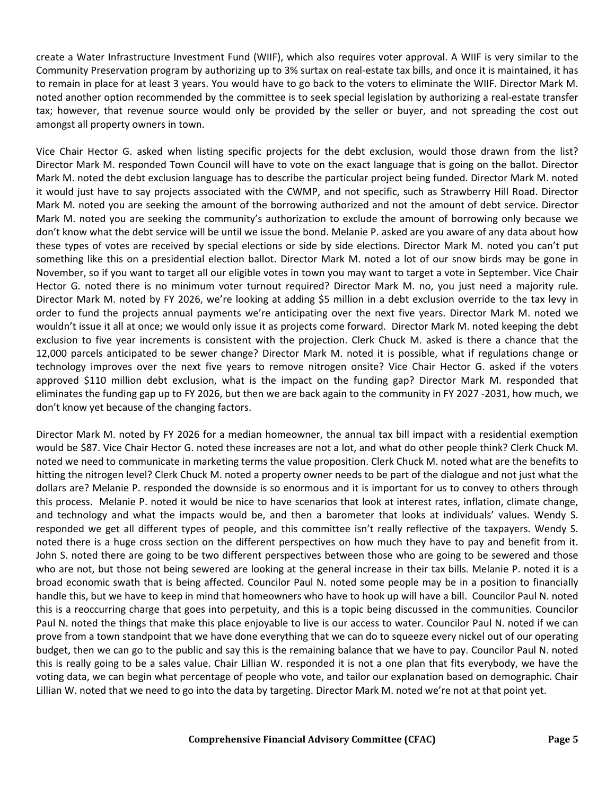create a Water Infrastructure Investment Fund (WIIF), which also requires voter approval. A WIIF is very similar to the Community Preservation program by authorizing up to 3% surtax on real-estate tax bills, and once it is maintained, it has to remain in place for at least 3 years. You would have to go back to the voters to eliminate the WIIF. Director Mark M. noted another option recommended by the committee is to seek special legislation by authorizing a real-estate transfer tax; however, that revenue source would only be provided by the seller or buyer, and not spreading the cost out amongst all property owners in town.

Vice Chair Hector G. asked when listing specific projects for the debt exclusion, would those drawn from the list? Director Mark M. responded Town Council will have to vote on the exact language that is going on the ballot. Director Mark M. noted the debt exclusion language has to describe the particular project being funded. Director Mark M. noted it would just have to say projects associated with the CWMP, and not specific, such as Strawberry Hill Road. Director Mark M. noted you are seeking the amount of the borrowing authorized and not the amount of debt service. Director Mark M. noted you are seeking the community's authorization to exclude the amount of borrowing only because we don't know what the debt service will be until we issue the bond. Melanie P. asked are you aware of any data about how these types of votes are received by special elections or side by side elections. Director Mark M. noted you can't put something like this on a presidential election ballot. Director Mark M. noted a lot of our snow birds may be gone in November, so if you want to target all our eligible votes in town you may want to target a vote in September. Vice Chair Hector G. noted there is no minimum voter turnout required? Director Mark M. no, you just need a majority rule. Director Mark M. noted by FY 2026, we're looking at adding \$5 million in a debt exclusion override to the tax levy in order to fund the projects annual payments we're anticipating over the next five years. Director Mark M. noted we wouldn't issue it all at once; we would only issue it as projects come forward. Director Mark M. noted keeping the debt exclusion to five year increments is consistent with the projection. Clerk Chuck M. asked is there a chance that the 12,000 parcels anticipated to be sewer change? Director Mark M. noted it is possible, what if regulations change or technology improves over the next five years to remove nitrogen onsite? Vice Chair Hector G. asked if the voters approved \$110 million debt exclusion, what is the impact on the funding gap? Director Mark M. responded that eliminates the funding gap up to FY 2026, but then we are back again to the community in FY 2027 -2031, how much, we don't know yet because of the changing factors.

Director Mark M. noted by FY 2026 for a median homeowner, the annual tax bill impact with a residential exemption would be \$87. Vice Chair Hector G. noted these increases are not a lot, and what do other people think? Clerk Chuck M. noted we need to communicate in marketing terms the value proposition. Clerk Chuck M. noted what are the benefits to hitting the nitrogen level? Clerk Chuck M. noted a property owner needs to be part of the dialogue and not just what the dollars are? Melanie P. responded the downside is so enormous and it is important for us to convey to others through this process. Melanie P. noted it would be nice to have scenarios that look at interest rates, inflation, climate change, and technology and what the impacts would be, and then a barometer that looks at individuals' values. Wendy S. responded we get all different types of people, and this committee isn't really reflective of the taxpayers. Wendy S. noted there is a huge cross section on the different perspectives on how much they have to pay and benefit from it. John S. noted there are going to be two different perspectives between those who are going to be sewered and those who are not, but those not being sewered are looking at the general increase in their tax bills. Melanie P. noted it is a broad economic swath that is being affected. Councilor Paul N. noted some people may be in a position to financially handle this, but we have to keep in mind that homeowners who have to hook up will have a bill. Councilor Paul N. noted this is a reoccurring charge that goes into perpetuity, and this is a topic being discussed in the communities. Councilor Paul N. noted the things that make this place enjoyable to live is our access to water. Councilor Paul N. noted if we can prove from a town standpoint that we have done everything that we can do to squeeze every nickel out of our operating budget, then we can go to the public and say this is the remaining balance that we have to pay. Councilor Paul N. noted this is really going to be a sales value. Chair Lillian W. responded it is not a one plan that fits everybody, we have the voting data, we can begin what percentage of people who vote, and tailor our explanation based on demographic. Chair Lillian W. noted that we need to go into the data by targeting. Director Mark M. noted we're not at that point yet.